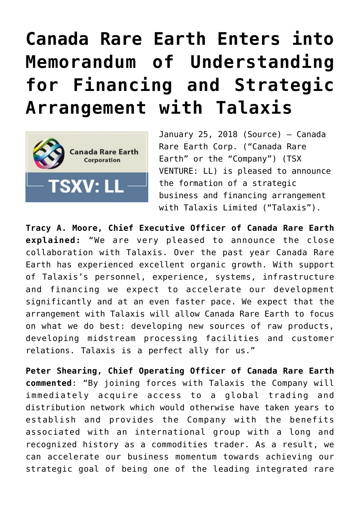## **[Canada Rare Earth Enters into](https://investorintel.com/markets/technology-metals/technology-metals-news/canada-rare-earth-enters-memorandum-understanding-financing-strategic-arrangement-talaxis/) [Memorandum of Understanding](https://investorintel.com/markets/technology-metals/technology-metals-news/canada-rare-earth-enters-memorandum-understanding-financing-strategic-arrangement-talaxis/) [for Financing and Strategic](https://investorintel.com/markets/technology-metals/technology-metals-news/canada-rare-earth-enters-memorandum-understanding-financing-strategic-arrangement-talaxis/) [Arrangement with Talaxis](https://investorintel.com/markets/technology-metals/technology-metals-news/canada-rare-earth-enters-memorandum-understanding-financing-strategic-arrangement-talaxis/)**



January 25, 2018 [\(Source](https://investorintel.com/iintel-members/canada-rare-earth-corporation/)) — Canada Rare Earth Corp. ("Canada Rare Earth" or the "Company") (TSX VENTURE: [LL](http://www.marketwired.com/news_room/Stock?ticker=TSXV:LL)) is pleased to announce the formation of a strategic business and financing arrangement with Talaxis Limited ("Talaxis").

**Tracy A. Moore, Chief Executive Officer of Canada Rare Earth explained:** "We are very pleased to announce the close collaboration with Talaxis. Over the past year Canada Rare Earth has experienced excellent organic growth. With support of Talaxis's personnel, experience, systems, infrastructure and financing we expect to accelerate our development significantly and at an even faster pace. We expect that the arrangement with Talaxis will allow Canada Rare Earth to focus on what we do best: developing new sources of raw products, developing midstream processing facilities and customer relations. Talaxis is a perfect ally for us."

**Peter Shearing, Chief Operating Officer of Canada Rare Earth commented**: "By joining forces with Talaxis the Company will immediately acquire access to a global trading and distribution network which would otherwise have taken years to establish and provides the Company with the benefits associated with an international group with a long and recognized history as a commodities trader. As a result, we can accelerate our business momentum towards achieving our strategic goal of being one of the leading integrated rare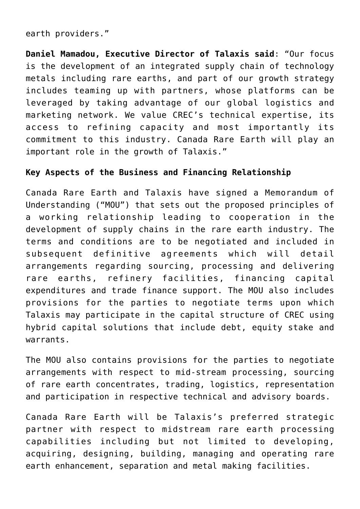earth providers."

**Daniel Mamadou, Executive Director of Talaxis said**: "Our focus is the development of an integrated supply chain of technology metals including rare earths, and part of our growth strategy includes teaming up with partners, whose platforms can be leveraged by taking advantage of our global logistics and marketing network. We value CREC's technical expertise, its access to refining capacity and most importantly its commitment to this industry. Canada Rare Earth will play an important role in the growth of Talaxis."

## **Key Aspects of the Business and Financing Relationship**

Canada Rare Earth and Talaxis have signed a Memorandum of Understanding ("MOU") that sets out the proposed principles of a working relationship leading to cooperation in the development of supply chains in the rare earth industry. The terms and conditions are to be negotiated and included in subsequent definitive agreements which will detail arrangements regarding sourcing, processing and delivering rare earths, refinery facilities, financing capital expenditures and trade finance support. The MOU also includes provisions for the parties to negotiate terms upon which Talaxis may participate in the capital structure of CREC using hybrid capital solutions that include debt, equity stake and warrants.

The MOU also contains provisions for the parties to negotiate arrangements with respect to mid-stream processing, sourcing of rare earth concentrates, trading, logistics, representation and participation in respective technical and advisory boards.

Canada Rare Earth will be Talaxis's preferred strategic partner with respect to midstream rare earth processing capabilities including but not limited to developing, acquiring, designing, building, managing and operating rare earth enhancement, separation and metal making facilities.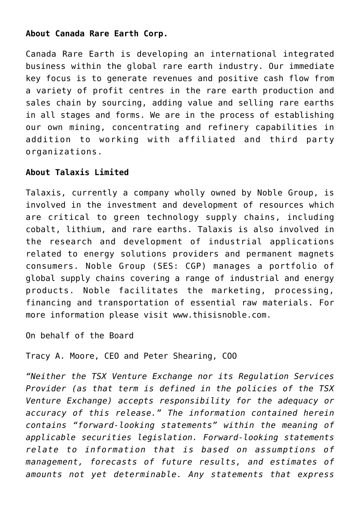## **About Canada Rare Earth Corp.**

Canada Rare Earth is developing an international integrated business within the global rare earth industry. Our immediate key focus is to generate revenues and positive cash flow from a variety of profit centres in the rare earth production and sales chain by sourcing, adding value and selling rare earths in all stages and forms. We are in the process of establishing our own mining, concentrating and refinery capabilities in addition to working with affiliated and third party organizations.

## **About Talaxis Limited**

Talaxis, currently a company wholly owned by Noble Group, is involved in the investment and development of resources which are critical to green technology supply chains, including cobalt, lithium, and rare earths. Talaxis is also involved in the research and development of industrial applications related to energy solutions providers and permanent magnets consumers. Noble Group (SES: [CGP](http://www.marketwired.com/news_room/Stock?ticker=CGP)) manages a portfolio of global supply chains covering a range of industrial and energy products. Noble facilitates the marketing, processing, financing and transportation of essential raw materials. For more information please visit [www.thisisnoble.com.](http://ctt.marketwire.com/?release=11G149656-001&id=12493747&type=0&url=http%3a%2f%2fwww.thisisnoble.com%2f)

On behalf of the Board

Tracy A. Moore, CEO and Peter Shearing, COO

*"Neither the TSX Venture Exchange nor its Regulation Services Provider (as that term is defined in the policies of the TSX Venture Exchange) accepts responsibility for the adequacy or accuracy of this release." The information contained herein contains "forward-looking statements" within the meaning of applicable securities legislation. Forward-looking statements relate to information that is based on assumptions of management, forecasts of future results, and estimates of amounts not yet determinable. Any statements that express*